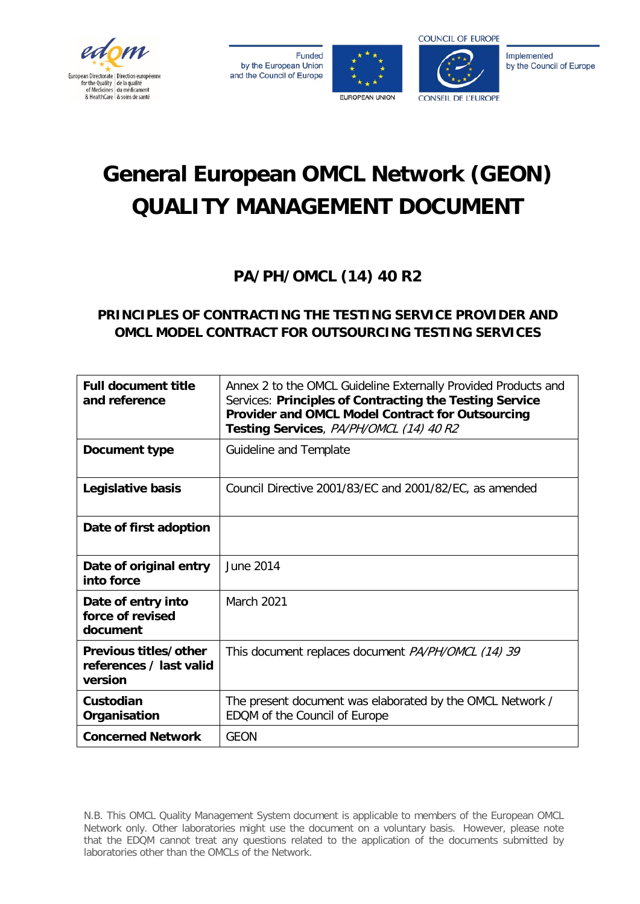

**Funded** by the European Union and the Council of Europe





Implemented by the Council of Europe

# **General European OMCL Network (GEON) QUALITY MANAGEMENT DOCUMENT**

**PA/PH/OMCL (14) 40 R2**

# **PRINCIPLES OF CONTRACTING THE TESTING SERVICE PROVIDER AND OMCL MODEL CONTRACT FOR OUTSOURCING TESTING SERVICES**

| <b>Full document title</b><br>and reference                 | Annex 2 to the OMCL Guideline Externally Provided Products and<br>Services: Principles of Contracting the Testing Service<br>Provider and OMCL Model Contract for Outsourcing<br>Testing Services, PA/PH/OMCL (14) 40 R2 |
|-------------------------------------------------------------|--------------------------------------------------------------------------------------------------------------------------------------------------------------------------------------------------------------------------|
| Document type                                               | Guideline and Template                                                                                                                                                                                                   |
| Legislative basis                                           | Council Directive 2001/83/EC and 2001/82/EC, as amended                                                                                                                                                                  |
| Date of first adoption                                      |                                                                                                                                                                                                                          |
| Date of original entry<br>into force                        | <b>June 2014</b>                                                                                                                                                                                                         |
| Date of entry into<br>force of revised<br>document          | <b>March 2021</b>                                                                                                                                                                                                        |
| Previous titles/other<br>references / last valid<br>version | This document replaces document <i>PA/PH/OMCL (14) 39</i>                                                                                                                                                                |
| Custodian<br>Organisation                                   | The present document was elaborated by the OMCL Network /<br>EDQM of the Council of Europe                                                                                                                               |
| <b>Concerned Network</b>                                    | <b>GEON</b>                                                                                                                                                                                                              |

N.B. This OMCL Quality Management System document is applicable to members of the European OMCL Network only. Other laboratories might use the document on a voluntary basis. However, please note that the EDQM cannot treat any questions related to the application of the documents submitted by laboratories other than the OMCLs of the Network.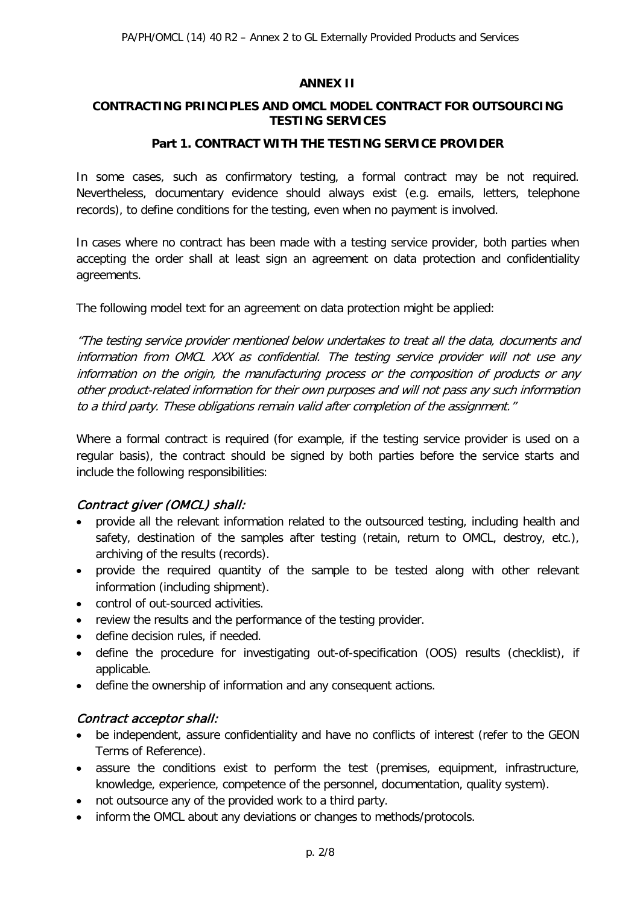#### **ANNEX II**

#### **CONTRACTING PRINCIPLES AND OMCL MODEL CONTRACT FOR OUTSOURCING TESTING SERVICES**

#### **Part 1. CONTRACT WITH THE TESTING SERVICE PROVIDER**

In some cases, such as confirmatory testing, a formal contract may be not required. Nevertheless, documentary evidence should always exist (e.g. emails, letters, telephone records), to define conditions for the testing, even when no payment is involved.

In cases where no contract has been made with a testing service provider, both parties when accepting the order shall at least sign an agreement on data protection and confidentiality agreements.

The following model text for an agreement on data protection might be applied:

"The testing service provider mentioned below undertakes to treat all the data, documents and information from OMCL XXX as confidential. The testing service provider will not use any information on the origin, the manufacturing process or the composition of products or any other product-related information for their own purposes and will not pass any such information to a third party. These obligations remain valid after completion of the assignment."

Where a formal contract is required (for example, if the testing service provider is used on a regular basis), the contract should be signed by both parties before the service starts and include the following responsibilities:

# Contract giver (OMCL) shall:

- provide all the relevant information related to the outsourced testing, including health and safety, destination of the samples after testing (retain, return to OMCL, destroy, etc.), archiving of the results (records).
- provide the required quantity of the sample to be tested along with other relevant information (including shipment).
- control of out-sourced activities.
- review the results and the performance of the testing provider.
- define decision rules, if needed.
- define the procedure for investigating out-of-specification (OOS) results (checklist), if applicable.
- define the ownership of information and any consequent actions.

# Contract acceptor shall:

- be independent, assure confidentiality and have no conflicts of interest (refer to the GEON Terms of Reference).
- assure the conditions exist to perform the test (premises, equipment, infrastructure, knowledge, experience, competence of the personnel, documentation, quality system).
- not outsource any of the provided work to a third party.
- inform the OMCL about any deviations or changes to methods/protocols.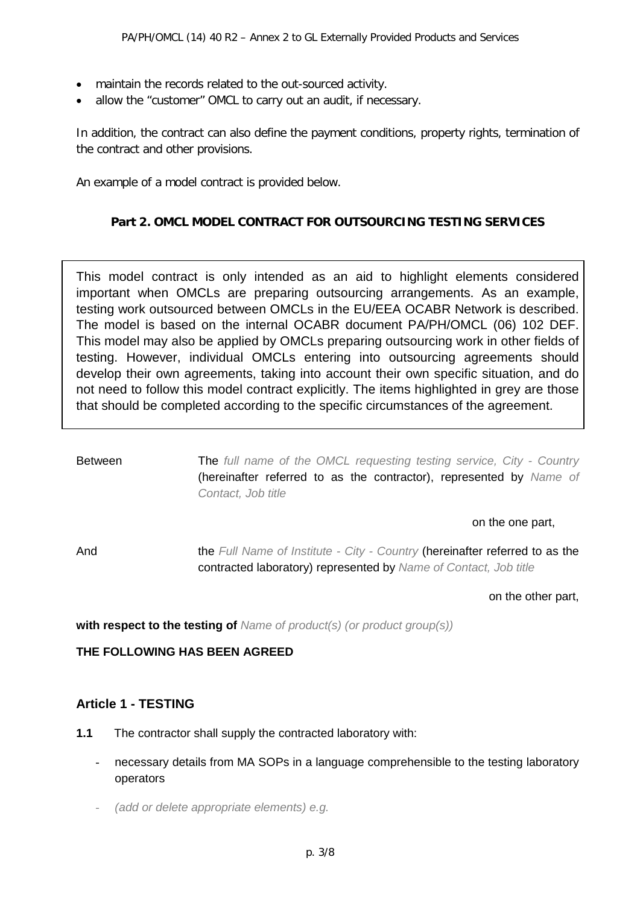- maintain the records related to the out-sourced activity.
- allow the "customer" OMCL to carry out an audit, if necessary.

In addition, the contract can also define the payment conditions, property rights, termination of the contract and other provisions.

An example of a model contract is provided below.

#### **Part 2. OMCL MODEL CONTRACT FOR OUTSOURCING TESTING SERVICES**

This model contract is only intended as an aid to highlight elements considered important when OMCLs are preparing outsourcing arrangements. As an example, testing work outsourced between OMCLs in the EU/EEA OCABR Network is described. The model is based on the internal OCABR document PA/PH/OMCL (06) 102 DEF. This model may also be applied by OMCLs preparing outsourcing work in other fields of testing. However, individual OMCLs entering into outsourcing agreements should develop their own agreements, taking into account their own specific situation, and do not need to follow this model contract explicitly. The items highlighted in grey are those that should be completed according to the specific circumstances of the agreement.

Between The *full name of the OMCL requesting testing service, City - Country* (hereinafter referred to as the contractor), represented by *Name of Contact, Job title*

#### on the one part,

And the *Full Name of Institute - City - Country* (hereinafter referred to as the contracted laboratory) represented by *Name of Contact, Job title*

on the other part,

**with respect to the testing of** *Name of product(s) (or product group(s))*

**THE FOLLOWING HAS BEEN AGREED**

# **Article 1 - TESTING**

- **1.1** The contractor shall supply the contracted laboratory with:
	- necessary details from MA SOPs in a language comprehensible to the testing laboratory operators
	- *(add or delete appropriate elements) e.g.*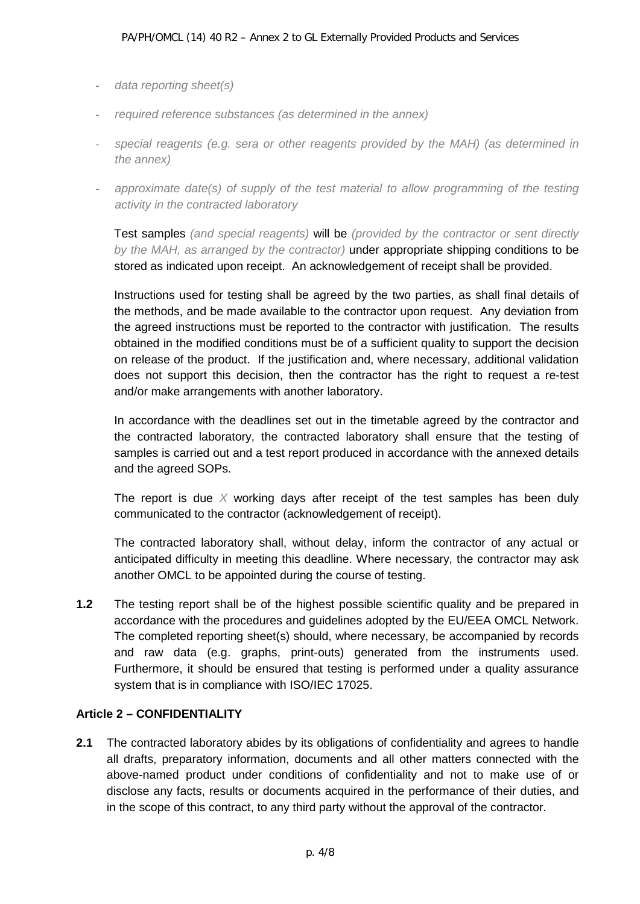- *data reporting sheet(s)*
- *required reference substances (as determined in the annex)*
- *special reagents (e.g. sera or other reagents provided by the MAH) (as determined in the annex)*
- *approximate date(s)* of *supply of the test material to allow programming of the testing activity in the contracted laboratory*

Test samples *(and special reagents)* will be *(provided by the contractor or sent directly by the MAH, as arranged by the contractor)* under appropriate shipping conditions to be stored as indicated upon receipt. An acknowledgement of receipt shall be provided.

Instructions used for testing shall be agreed by the two parties, as shall final details of the methods, and be made available to the contractor upon request. Any deviation from the agreed instructions must be reported to the contractor with justification. The results obtained in the modified conditions must be of a sufficient quality to support the decision on release of the product. If the justification and, where necessary, additional validation does not support this decision, then the contractor has the right to request a re-test and/or make arrangements with another laboratory.

In accordance with the deadlines set out in the timetable agreed by the contractor and the contracted laboratory, the contracted laboratory shall ensure that the testing of samples is carried out and a test report produced in accordance with the annexed details and the agreed SOPs.

The report is due *X* working days after receipt of the test samples has been duly communicated to the contractor (acknowledgement of receipt).

The contracted laboratory shall, without delay, inform the contractor of any actual or anticipated difficulty in meeting this deadline. Where necessary, the contractor may ask another OMCL to be appointed during the course of testing.

**1.2** The testing report shall be of the highest possible scientific quality and be prepared in accordance with the procedures and guidelines adopted by the EU/EEA OMCL Network. The completed reporting sheet(s) should, where necessary, be accompanied by records and raw data (e.g. graphs, print-outs) generated from the instruments used. Furthermore, it should be ensured that testing is performed under a quality assurance system that is in compliance with ISO/IEC 17025.

# **Article 2 – CONFIDENTIALITY**

**2.1** The contracted laboratory abides by its obligations of confidentiality and agrees to handle all drafts, preparatory information, documents and all other matters connected with the above-named product under conditions of confidentiality and not to make use of or disclose any facts, results or documents acquired in the performance of their duties, and in the scope of this contract, to any third party without the approval of the contractor.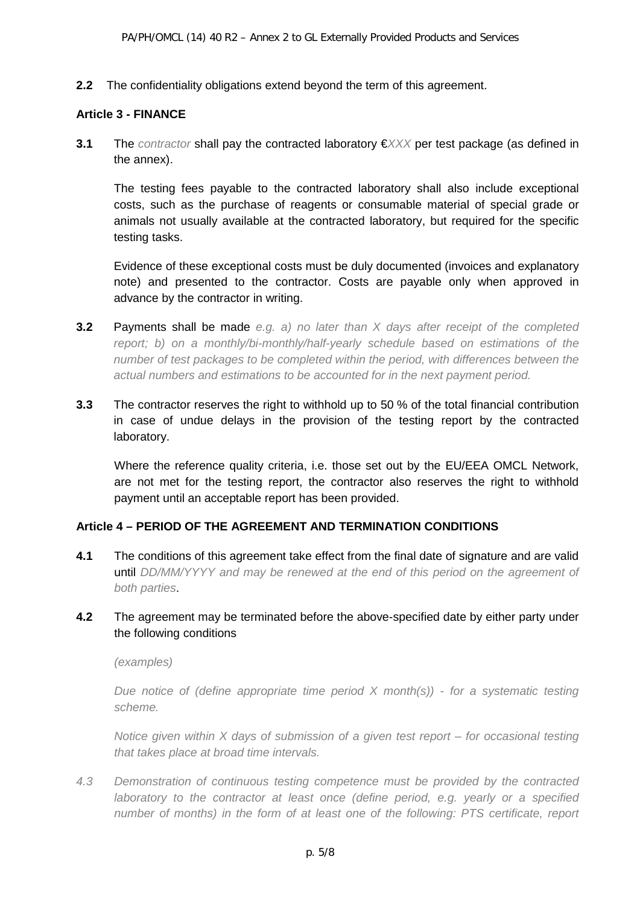**2.2** The confidentiality obligations extend beyond the term of this agreement.

#### **Article 3 - FINANCE**

**3.1** The *contractor* shall pay the contracted laboratory €*XXX* per test package (as defined in the annex).

The testing fees payable to the contracted laboratory shall also include exceptional costs, such as the purchase of reagents or consumable material of special grade or animals not usually available at the contracted laboratory, but required for the specific testing tasks.

Evidence of these exceptional costs must be duly documented (invoices and explanatory note) and presented to the contractor. Costs are payable only when approved in advance by the contractor in writing.

- **3.2** Payments shall be made *e.g. a) no later than X days after receipt of the completed report; b) on a monthly/bi-monthly/half-yearly schedule based on estimations of the number of test packages to be completed within the period, with differences between the actual numbers and estimations to be accounted for in the next payment period.*
- **3.3** The contractor reserves the right to withhold up to 50 % of the total financial contribution in case of undue delays in the provision of the testing report by the contracted laboratory.

Where the reference quality criteria, i.e. those set out by the EU/EEA OMCL Network, are not met for the testing report, the contractor also reserves the right to withhold payment until an acceptable report has been provided.

# **Article 4 – PERIOD OF THE AGREEMENT AND TERMINATION CONDITIONS**

**4.1** The conditions of this agreement take effect from the final date of signature and are valid until *DD/MM/YYYY and may be renewed at the end of this period on the agreement of both parties*.

# **4.2** The agreement may be terminated before the above-specified date by either party under the following conditions

*(examples)*

*Due notice of (define appropriate time period X month(s)) - for a systematic testing scheme.*

*Notice given within X days of submission of a given test report – for occasional testing that takes place at broad time intervals.*

*4.3 Demonstration of continuous testing competence must be provided by the contracted laboratory to the contractor at least once (define period, e.g. yearly or a specified number of months) in the form of at least one of the following: PTS certificate, report*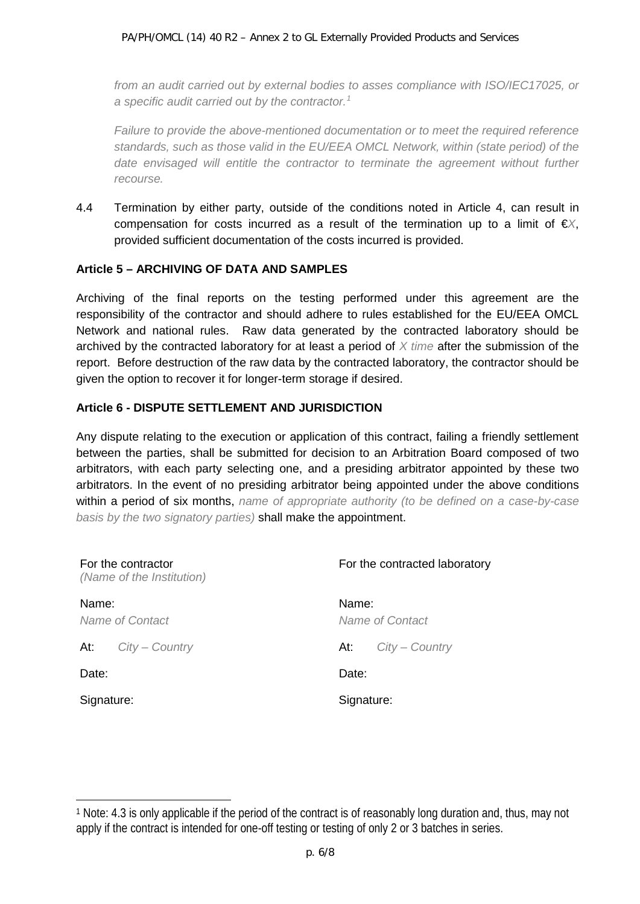*from an audit carried out by external bodies to asses compliance with ISO/IEC17025, or a specific audit carried out by the contractor.[1](#page-5-0)*

*Failure to provide the above-mentioned documentation or to meet the required reference standards, such as those valid in the EU/EEA OMCL Network, within (state period) of the*  date envisaged will entitle the contractor to terminate the agreement without further *recourse.*

4.4 Termination by either party, outside of the conditions noted in Article 4, can result in compensation for costs incurred as a result of the termination up to a limit of €*X*, provided sufficient documentation of the costs incurred is provided.

#### **Article 5 – ARCHIVING OF DATA AND SAMPLES**

Archiving of the final reports on the testing performed under this agreement are the responsibility of the contractor and should adhere to rules established for the EU/EEA OMCL Network and national rules. Raw data generated by the contracted laboratory should be archived by the contracted laboratory for at least a period of *X time* after the submission of the report. Before destruction of the raw data by the contracted laboratory, the contractor should be given the option to recover it for longer-term storage if desired.

#### **Article 6 - DISPUTE SETTLEMENT AND JURISDICTION**

 $\overline{a}$ 

Any dispute relating to the execution or application of this contract, failing a friendly settlement between the parties, shall be submitted for decision to an Arbitration Board composed of two arbitrators, with each party selecting one, and a presiding arbitrator appointed by these two arbitrators. In the event of no presiding arbitrator being appointed under the above conditions within a period of six months, *name of appropriate authority (to be defined on a case-by-case basis by the two signatory parties)* shall make the appointment.

| For the contractor<br>(Name of the Institution) | For the contracted laboratory |
|-------------------------------------------------|-------------------------------|
| Name:<br>Name of Contact                        | Name:<br>Name of Contact      |
| At:<br>$City - Country$                         | $City - Country$<br>At:       |
| Date:                                           | Date:                         |
| Signature:                                      | Signature:                    |

<span id="page-5-0"></span><sup>1</sup> Note: 4.3 is only applicable if the period of the contract is of reasonably long duration and, thus, may not apply if the contract is intended for one-off testing or testing of only 2 or 3 batches in series.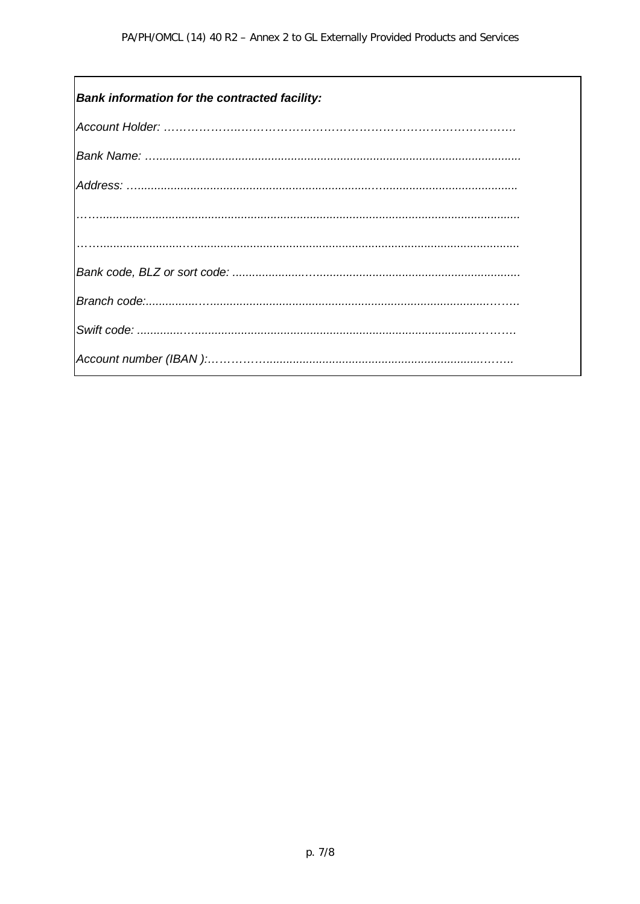| <b>Bank information for the contracted facility:</b> |
|------------------------------------------------------|
|                                                      |
|                                                      |
|                                                      |
|                                                      |
|                                                      |
|                                                      |
|                                                      |
|                                                      |
|                                                      |